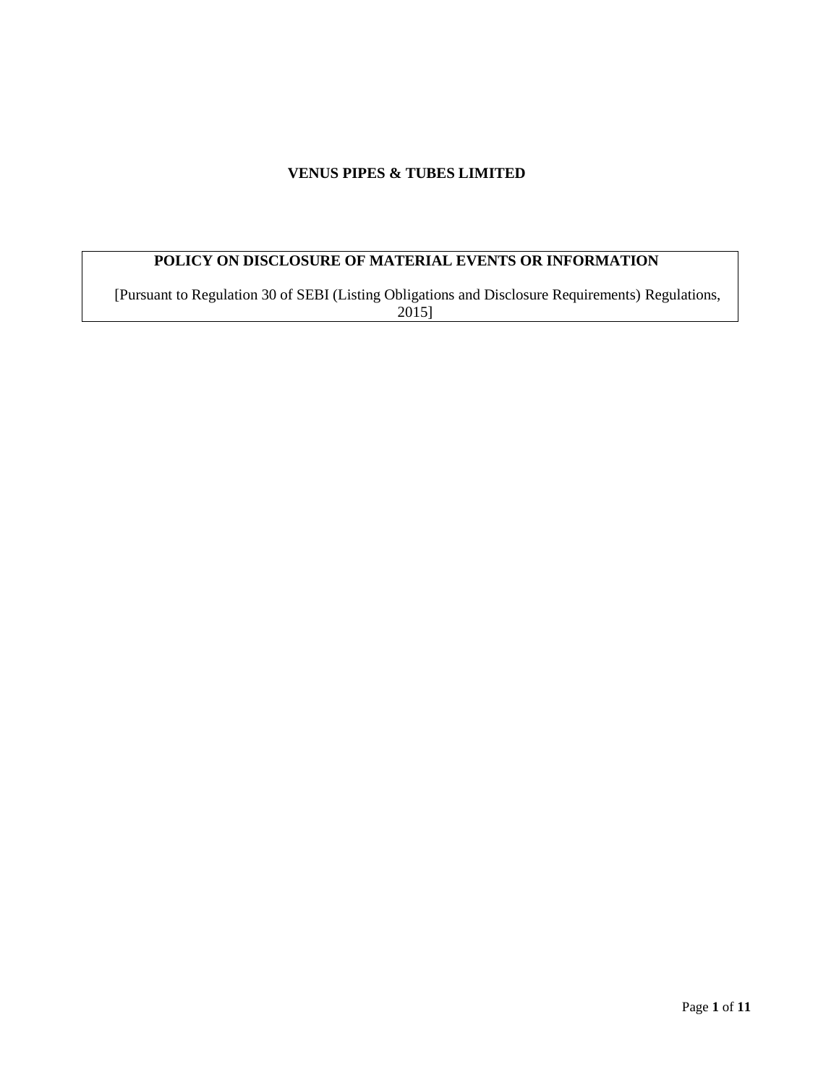## **VENUS PIPES & TUBES LIMITED**

# **POLICY ON DISCLOSURE OF MATERIAL EVENTS OR INFORMATION**

[Pursuant to Regulation 30 of SEBI (Listing Obligations and Disclosure Requirements) Regulations, 2015]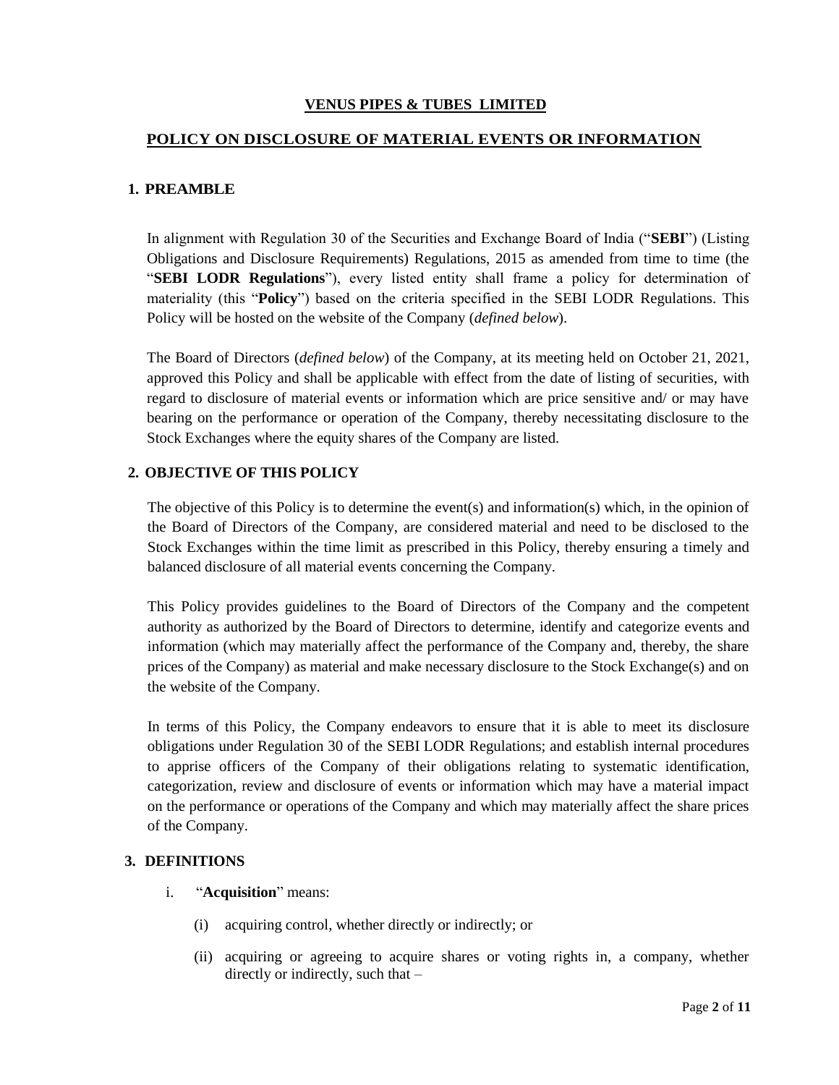### **VENUS PIPES & TUBES LIMITED**

### **POLICY ON DISCLOSURE OF MATERIAL EVENTS OR INFORMATION**

#### **1. PREAMBLE**

In alignment with Regulation 30 of the Securities and Exchange Board of India ("**SEBI**") (Listing Obligations and Disclosure Requirements) Regulations, 2015 as amended from time to time (the "**SEBI LODR Regulations**"), every listed entity shall frame a policy for determination of materiality (this "**Policy**") based on the criteria specified in the SEBI LODR Regulations. This Policy will be hosted on the website of the Company (*defined below*).

The Board of Directors (*defined below*) of the Company, at its meeting held on October 21, 2021, approved this Policy and shall be applicable with effect from the date of listing of securities, with regard to disclosure of material events or information which are price sensitive and/ or may have bearing on the performance or operation of the Company, thereby necessitating disclosure to the Stock Exchanges where the equity shares of the Company are listed.

#### **2. OBJECTIVE OF THIS POLICY**

The objective of this Policy is to determine the event(s) and information(s) which, in the opinion of the Board of Directors of the Company, are considered material and need to be disclosed to the Stock Exchanges within the time limit as prescribed in this Policy, thereby ensuring a timely and balanced disclosure of all material events concerning the Company.

This Policy provides guidelines to the Board of Directors of the Company and the competent authority as authorized by the Board of Directors to determine, identify and categorize events and information (which may materially affect the performance of the Company and, thereby, the share prices of the Company) as material and make necessary disclosure to the Stock Exchange(s) and on the website of the Company.

In terms of this Policy, the Company endeavors to ensure that it is able to meet its disclosure obligations under Regulation 30 of the SEBI LODR Regulations; and establish internal procedures to apprise officers of the Company of their obligations relating to systematic identification, categorization, review and disclosure of events or information which may have a material impact on the performance or operations of the Company and which may materially affect the share prices of the Company.

#### **3. DEFINITIONS**

- i. "**Acquisition**" means:
	- (i) acquiring control, whether directly or indirectly; or
	- (ii) acquiring or agreeing to acquire shares or voting rights in, a company, whether directly or indirectly, such that –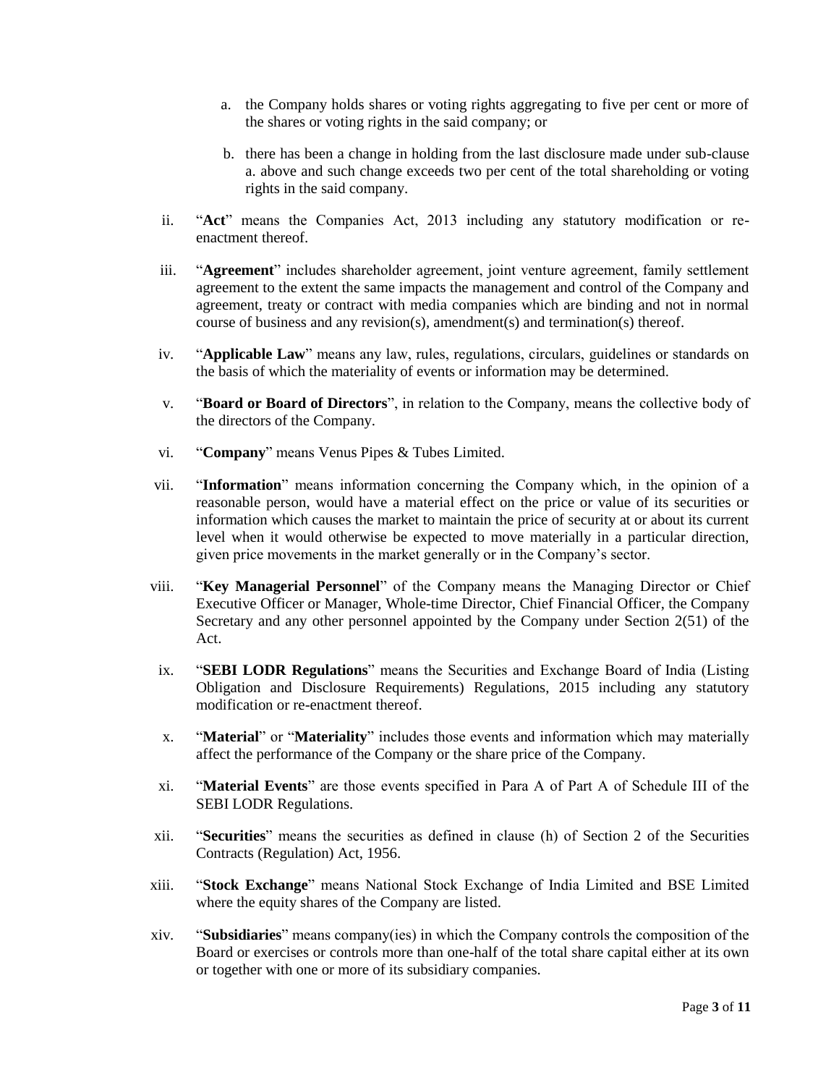- a. the Company holds shares or voting rights aggregating to five per cent or more of the shares or voting rights in the said company; or
- b. there has been a change in holding from the last disclosure made under sub-clause a. above and such change exceeds two per cent of the total shareholding or voting rights in the said company.
- ii. "**Act**" means the Companies Act, 2013 including any statutory modification or reenactment thereof.
- iii. "**Agreement**" includes shareholder agreement, joint venture agreement, family settlement agreement to the extent the same impacts the management and control of the Company and agreement, treaty or contract with media companies which are binding and not in normal course of business and any revision(s), amendment(s) and termination(s) thereof.
- iv. "**Applicable Law**" means any law, rules, regulations, circulars, guidelines or standards on the basis of which the materiality of events or information may be determined.
- v. "**Board or Board of Directors**", in relation to the Company, means the collective body of the directors of the Company.
- vi. "**Company**" means Venus Pipes & Tubes Limited.
- vii. "**Information**" means information concerning the Company which, in the opinion of a reasonable person, would have a material effect on the price or value of its securities or information which causes the market to maintain the price of security at or about its current level when it would otherwise be expected to move materially in a particular direction, given price movements in the market generally or in the Company's sector.
- viii. "**Key Managerial Personnel**" of the Company means the Managing Director or Chief Executive Officer or Manager, Whole-time Director, Chief Financial Officer, the Company Secretary and any other personnel appointed by the Company under Section 2(51) of the Act.
- ix. "**SEBI LODR Regulations**" means the Securities and Exchange Board of India (Listing Obligation and Disclosure Requirements) Regulations, 2015 including any statutory modification or re-enactment thereof.
- x. "**Material**" or "**Materiality**" includes those events and information which may materially affect the performance of the Company or the share price of the Company.
- xi. "**Material Events**" are those events specified in Para A of Part A of Schedule III of the SEBI LODR Regulations.
- xii. "**Securities**" means the securities as defined in clause (h) of Section 2 of the Securities Contracts (Regulation) Act, 1956.
- xiii. "**Stock Exchange**" means National Stock Exchange of India Limited and BSE Limited where the equity shares of the Company are listed.
- xiv. "**Subsidiaries**" means company(ies) in which the Company controls the composition of the Board or exercises or controls more than one-half of the total share capital either at its own or together with one or more of its subsidiary companies.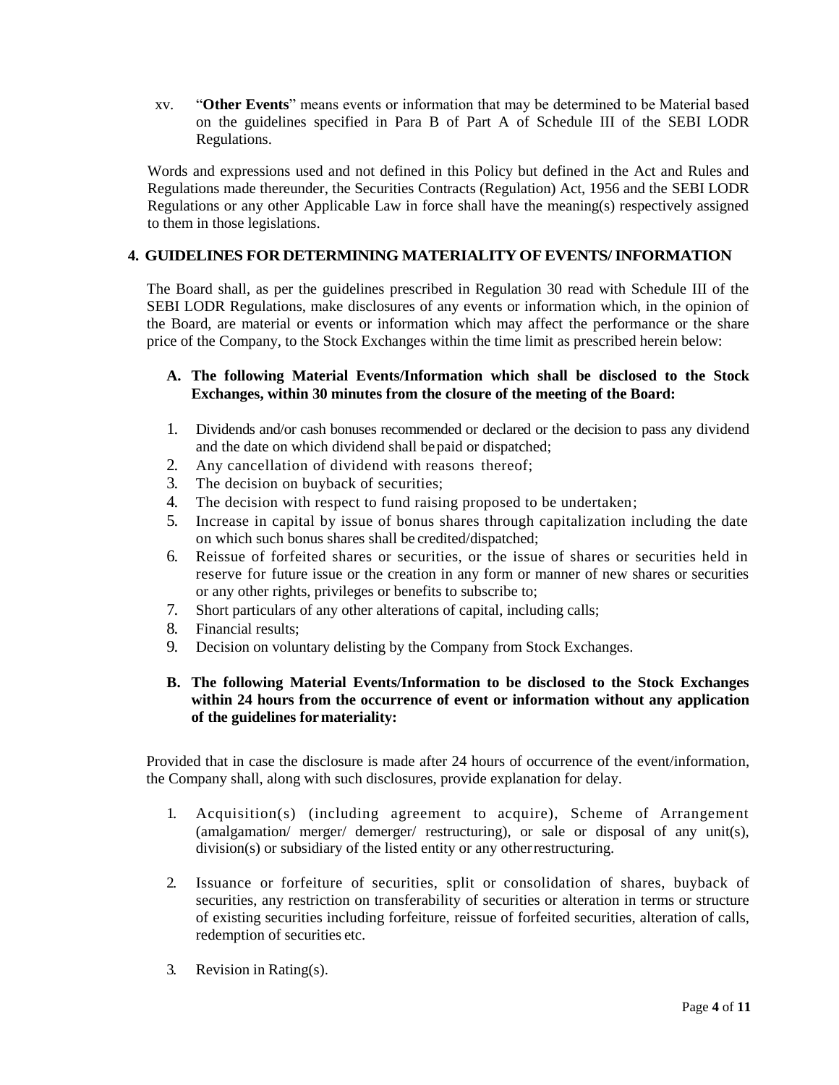xv. "**Other Events**" means events or information that may be determined to be Material based on the guidelines specified in Para B of Part A of Schedule III of the SEBI LODR Regulations.

Words and expressions used and not defined in this Policy but defined in the Act and Rules and Regulations made thereunder, the Securities Contracts (Regulation) Act, 1956 and the SEBI LODR Regulations or any other Applicable Law in force shall have the meaning(s) respectively assigned to them in those legislations.

### **4. GUIDELINES FOR DETERMINING MATERIALITYOFEVENTS/INFORMATION**

The Board shall, as per the guidelines prescribed in Regulation 30 read with Schedule III of the SEBI LODR Regulations, make disclosures of any events or information which, in the opinion of the Board, are material or events or information which may affect the performance or the share price of the Company, to the Stock Exchanges within the time limit as prescribed herein below:

#### **A. The following Material Events/Information which shall be disclosed to the Stock Exchanges, within 30 minutes from the closure of the meeting of the Board:**

- 1. Dividends and/or cash bonuses recommended or declared or the decision to pass any dividend and the date on which dividend shall bepaid or dispatched;
- 2. Any cancellation of dividend with reasons thereof;
- 3. The decision on buyback of securities;
- 4. The decision with respect to fund raising proposed to be undertaken;
- 5. Increase in capital by issue of bonus shares through capitalization including the date on which such bonus shares shall be credited/dispatched;
- 6. Reissue of forfeited shares or securities, or the issue of shares or securities held in reserve for future issue or the creation in any form or manner of new shares or securities or any other rights, privileges or benefits to subscribe to;
- 7. Short particulars of any other alterations of capital, including calls;
- 8. Financial results;
- 9. Decision on voluntary delisting by the Company from Stock Exchanges.

### **B. The following Material Events/Information to be disclosed to the Stock Exchanges within 24 hours from the occurrence of event or information without any application of the guidelines formateriality:**

Provided that in case the disclosure is made after 24 hours of occurrence of the event/information, the Company shall, along with such disclosures, provide explanation for delay.

- 1. Acquisition(s) (including agreement to acquire), Scheme of Arrangement (amalgamation/ merger/ demerger/ restructuring), or sale or disposal of any unit(s), division(s) or subsidiary of the listed entity or any otherrestructuring.
- 2. Issuance or forfeiture of securities, split or consolidation of shares, buyback of securities, any restriction on transferability of securities or alteration in terms or structure of existing securities including forfeiture, reissue of forfeited securities, alteration of calls, redemption of securities etc.
- 3. Revision in Rating(s).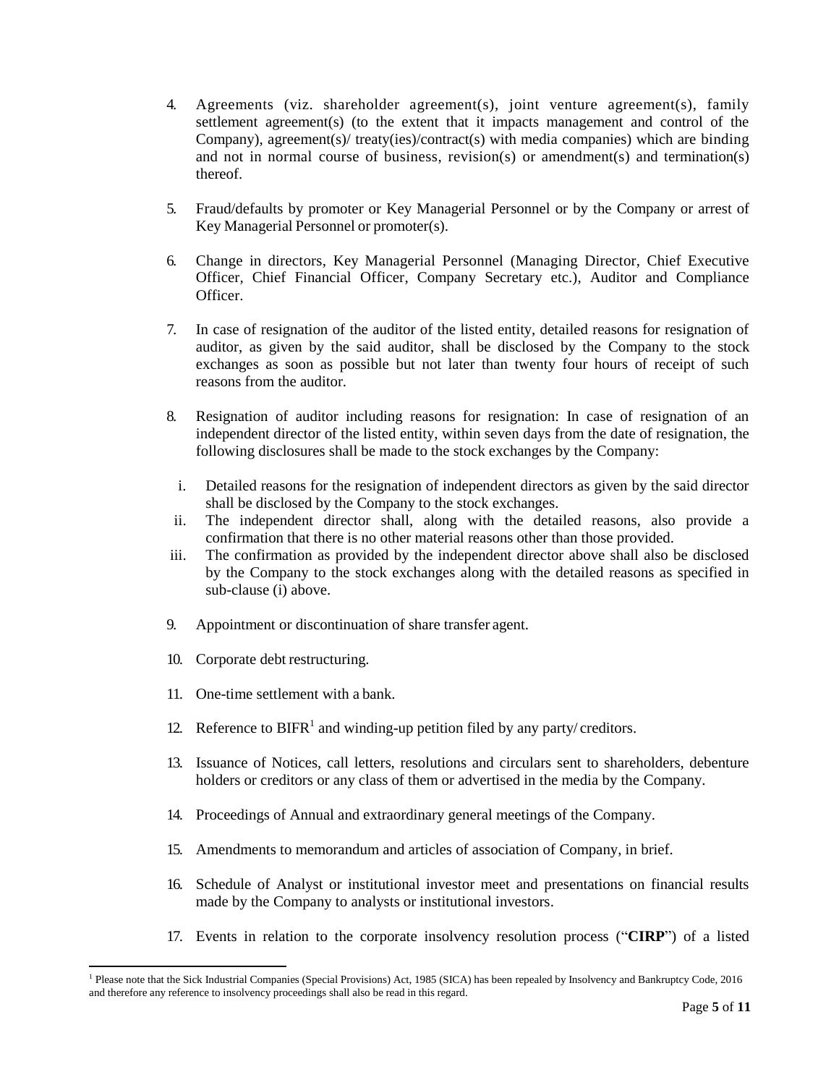- 4. Agreements (viz. shareholder agreement(s), joint venture agreement(s), family settlement agreement(s) (to the extent that it impacts management and control of the Company), agreement(s)/ treaty(ies)/contract(s) with media companies) which are binding and not in normal course of business, revision(s) or amendment(s) and termination(s) thereof.
- 5. Fraud/defaults by promoter or Key Managerial Personnel or by the Company or arrest of Key Managerial Personnel or promoter(s).
- 6. Change in directors, Key Managerial Personnel (Managing Director, Chief Executive Officer, Chief Financial Officer, Company Secretary etc.), Auditor and Compliance Officer.
- 7. In case of resignation of the auditor of the listed entity, detailed reasons for resignation of auditor, as given by the said auditor, shall be disclosed by the Company to the stock exchanges as soon as possible but not later than twenty four hours of receipt of such reasons from the auditor.
- 8. Resignation of auditor including reasons for resignation: In case of resignation of an independent director of the listed entity, within seven days from the date of resignation, the following disclosures shall be made to the stock exchanges by the Company:
	- i. Detailed reasons for the resignation of independent directors as given by the said director shall be disclosed by the Company to the stock exchanges.
- ii. The independent director shall, along with the detailed reasons, also provide a confirmation that there is no other material reasons other than those provided.
- iii. The confirmation as provided by the independent director above shall also be disclosed by the Company to the stock exchanges along with the detailed reasons as specified in sub-clause (i) above.
- 9. Appointment or discontinuation of share transfer agent.
- 10. Corporate debt restructuring.
- 11. One-time settlement with a bank.
- 12. Reference to  $BIFR<sup>1</sup>$  and winding-up petition filed by any party/creditors.
- 13. Issuance of Notices, call letters, resolutions and circulars sent to shareholders, debenture holders or creditors or any class of them or advertised in the media by the Company.
- 14. Proceedings of Annual and extraordinary general meetings of the Company.
- 15. Amendments to memorandum and articles of association of Company, in brief.
- 16. Schedule of Analyst or institutional investor meet and presentations on financial results made by the Company to analysts or institutional investors.
- 17. Events in relation to the corporate insolvency resolution process ("**CIRP**") of a listed

 $\overline{a}$ <sup>1</sup> Please note that the Sick Industrial Companies (Special Provisions) Act, 1985 (SICA) has been repealed by Insolvency and Bankruptcy Code, 2016 and therefore any reference to insolvency proceedings shall also be read in this regard.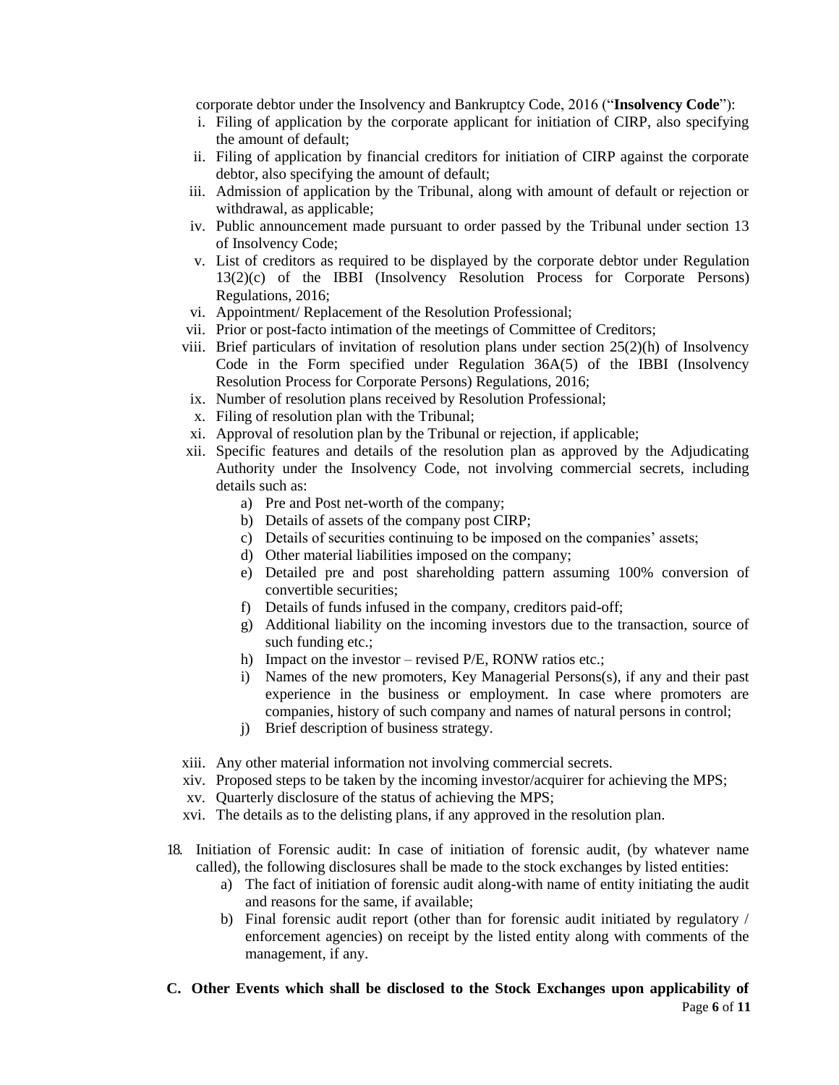corporate debtor under the Insolvency and Bankruptcy Code, 2016 ("**Insolvency Code**"):

- i. Filing of application by the corporate applicant for initiation of CIRP, also specifying the amount of default;
- ii. Filing of application by financial creditors for initiation of CIRP against the corporate debtor, also specifying the amount of default;
- iii. Admission of application by the Tribunal, along with amount of default or rejection or withdrawal, as applicable;
- iv. Public announcement made pursuant to order passed by the Tribunal under section 13 of Insolvency Code;
- v. List of creditors as required to be displayed by the corporate debtor under Regulation 13(2)(c) of the IBBI (Insolvency Resolution Process for Corporate Persons) Regulations, 2016;
- vi. Appointment/ Replacement of the Resolution Professional;
- vii. Prior or post-facto intimation of the meetings of Committee of Creditors;
- viii. Brief particulars of invitation of resolution plans under section 25(2)(h) of Insolvency Code in the Form specified under Regulation 36A(5) of the IBBI (Insolvency Resolution Process for Corporate Persons) Regulations, 2016;
- ix. Number of resolution plans received by Resolution Professional;
- x. Filing of resolution plan with the Tribunal;
- xi. Approval of resolution plan by the Tribunal or rejection, if applicable;
- xii. Specific features and details of the resolution plan as approved by the Adjudicating Authority under the Insolvency Code, not involving commercial secrets, including details such as:
	- a) Pre and Post net-worth of the company;
	- b) Details of assets of the company post CIRP;
	- c) Details of securities continuing to be imposed on the companies' assets;
	- d) Other material liabilities imposed on the company;
	- e) Detailed pre and post shareholding pattern assuming 100% conversion of convertible securities;
	- f) Details of funds infused in the company, creditors paid-off;
	- g) Additional liability on the incoming investors due to the transaction, source of such funding etc.;
	- h) Impact on the investor revised P/E, RONW ratios etc.;
	- i) Names of the new promoters, Key Managerial Persons(s), if any and their past experience in the business or employment. In case where promoters are companies, history of such company and names of natural persons in control;
	- j) Brief description of business strategy.
- xiii. Any other material information not involving commercial secrets.
- xiv. Proposed steps to be taken by the incoming investor/acquirer for achieving the MPS;
- xv. Quarterly disclosure of the status of achieving the MPS;
- xvi. The details as to the delisting plans, if any approved in the resolution plan.
- 18. Initiation of Forensic audit: In case of initiation of forensic audit, (by whatever name called), the following disclosures shall be made to the stock exchanges by listed entities:
	- a) The fact of initiation of forensic audit along-with name of entity initiating the audit and reasons for the same, if available;
	- b) Final forensic audit report (other than for forensic audit initiated by regulatory / enforcement agencies) on receipt by the listed entity along with comments of the management, if any.
- Page **6** of **11 C. Other Events which shall be disclosed to the Stock Exchanges upon applicability of**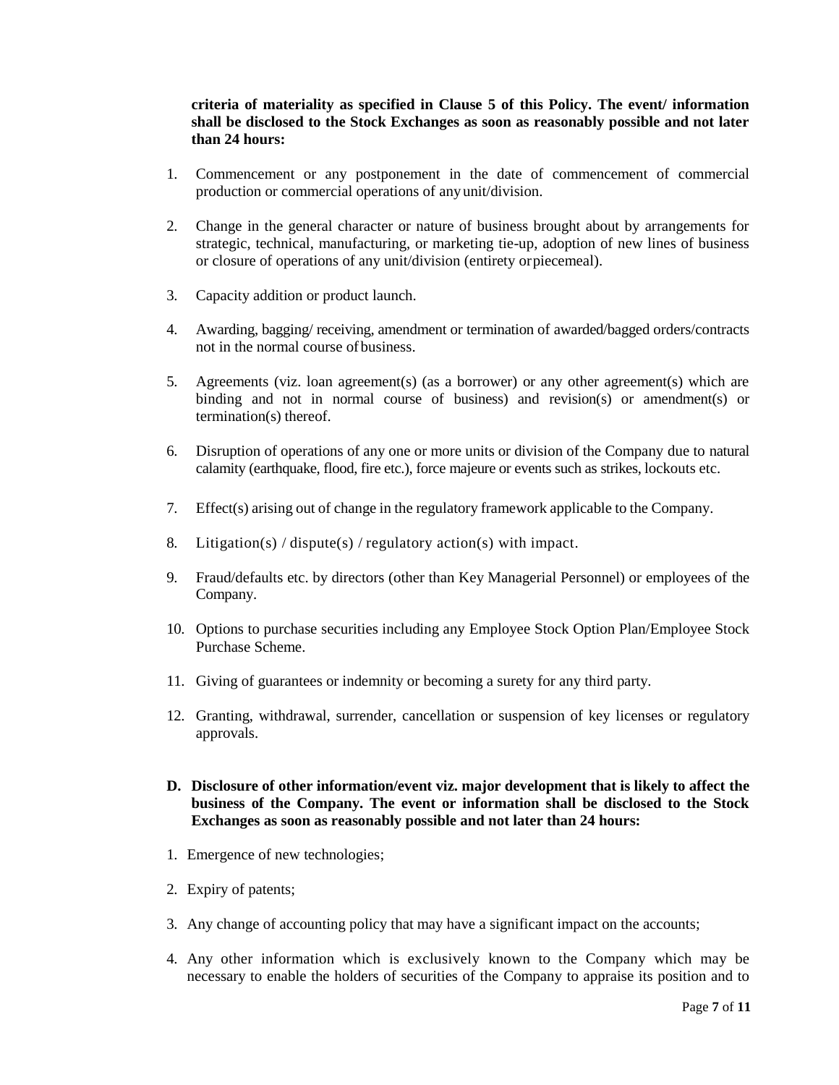#### **criteria of materiality as specified in Clause 5 of this Policy. The event/ information shall be disclosed to the Stock Exchanges as soon as reasonably possible and not later than 24 hours:**

- 1. Commencement or any postponement in the date of commencement of commercial production or commercial operations of anyunit/division.
- 2. Change in the general character or nature of business brought about by arrangements for strategic, technical, manufacturing, or marketing tie-up, adoption of new lines of business or closure of operations of any unit/division (entirety orpiecemeal).
- 3. Capacity addition or product launch.
- 4. Awarding, bagging/ receiving, amendment or termination of awarded/bagged orders/contracts not in the normal course of business.
- 5. Agreements (viz. loan agreement(s) (as a borrower) or any other agreement(s) which are binding and not in normal course of business) and revision(s) or amendment(s) or termination(s) thereof.
- 6. Disruption of operations of any one or more units or division of the Company due to natural calamity (earthquake, flood, fire etc.), force majeure or events such as strikes, lockouts etc.
- 7. Effect(s) arising out of change in the regulatory framework applicable to the Company.
- 8. Litigation(s) / dispute(s) / regulatory action(s) with impact.
- 9. Fraud/defaults etc. by directors (other than Key Managerial Personnel) or employees of the Company.
- 10. Options to purchase securities including any Employee Stock Option Plan/Employee Stock Purchase Scheme.
- 11. Giving of guarantees or indemnity or becoming a surety for any third party.
- 12. Granting, withdrawal, surrender, cancellation or suspension of key licenses or regulatory approvals.
- **D. Disclosure of other information/event viz. major development that is likely to affect the business of the Company. The event or information shall be disclosed to the Stock Exchanges as soon as reasonably possible and not later than 24 hours:**
- 1. Emergence of new technologies;
- 2. Expiry of patents;
- 3. Any change of accounting policy that may have a significant impact on the accounts;
- 4. Any other information which is exclusively known to the Company which may be necessary to enable the holders of securities of the Company to appraise its position and to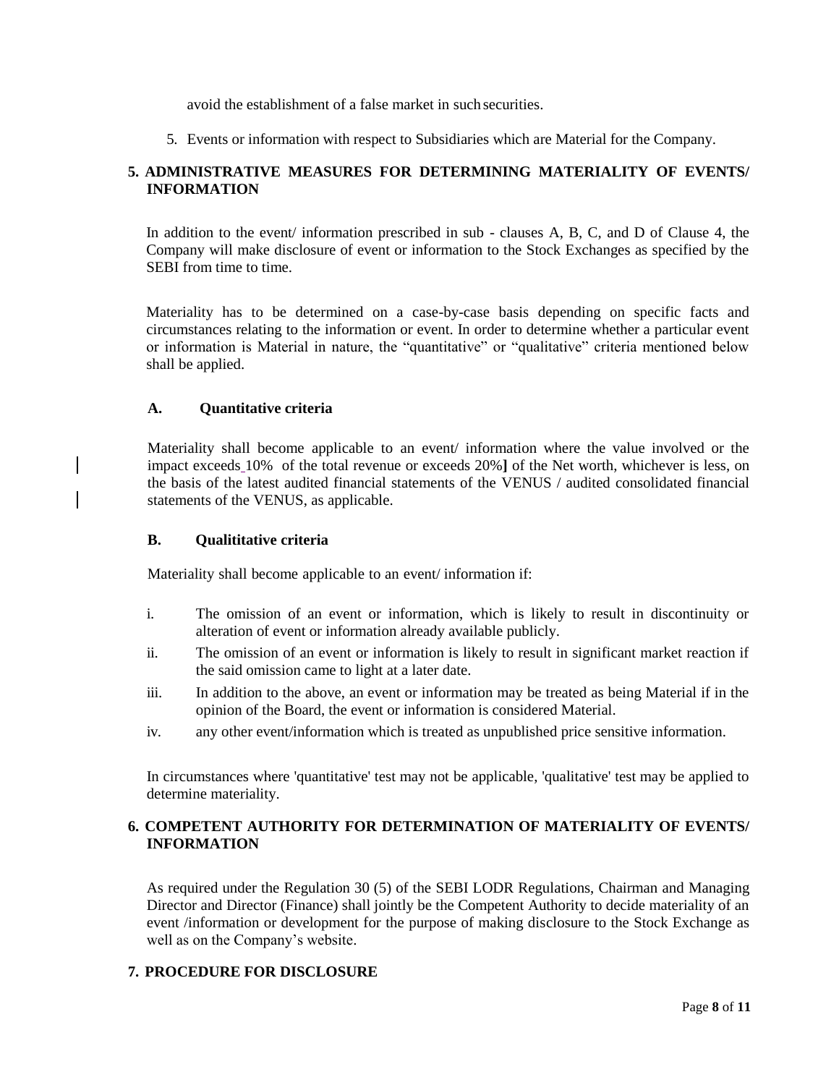avoid the establishment of a false market in such securities.

5. Events or information with respect to Subsidiaries which are Material for the Company.

### **5. ADMINISTRATIVE MEASURES FOR DETERMINING MATERIALITY OF EVENTS/ INFORMATION**

In addition to the event/ information prescribed in sub - clauses A, B, C, and D of Clause 4, the Company will make disclosure of event or information to the Stock Exchanges as specified by the SEBI from time to time.

Materiality has to be determined on a case-by-case basis depending on specific facts and circumstances relating to the information or event. In order to determine whether a particular event or information is Material in nature, the "quantitative" or "qualitative" criteria mentioned below shall be applied.

#### **A. Quantitative criteria**

Materiality shall become applicable to an event/ information where the value involved or the impact exceeds 10% of the total revenue or exceeds 20%**]** of the Net worth, whichever is less, on the basis of the latest audited financial statements of the VENUS / audited consolidated financial statements of the VENUS, as applicable.

### **B. Qualititative criteria**

Materiality shall become applicable to an event/ information if:

- i. The omission of an event or information, which is likely to result in discontinuity or alteration of event or information already available publicly.
- ii. The omission of an event or information is likely to result in significant market reaction if the said omission came to light at a later date.
- iii. In addition to the above, an event or information may be treated as being Material if in the opinion of the Board, the event or information is considered Material.
- iv. any other event/information which is treated as unpublished price sensitive information.

In circumstances where 'quantitative' test may not be applicable, 'qualitative' test may be applied to determine materiality.

## **6. COMPETENT AUTHORITY FOR DETERMINATION OF MATERIALITY OF EVENTS/ INFORMATION**

As required under the Regulation 30 (5) of the SEBI LODR Regulations, Chairman and Managing Director and Director (Finance) shall jointly be the Competent Authority to decide materiality of an event /information or development for the purpose of making disclosure to the Stock Exchange as well as on the Company's website.

## **7. PROCEDURE FOR DISCLOSURE**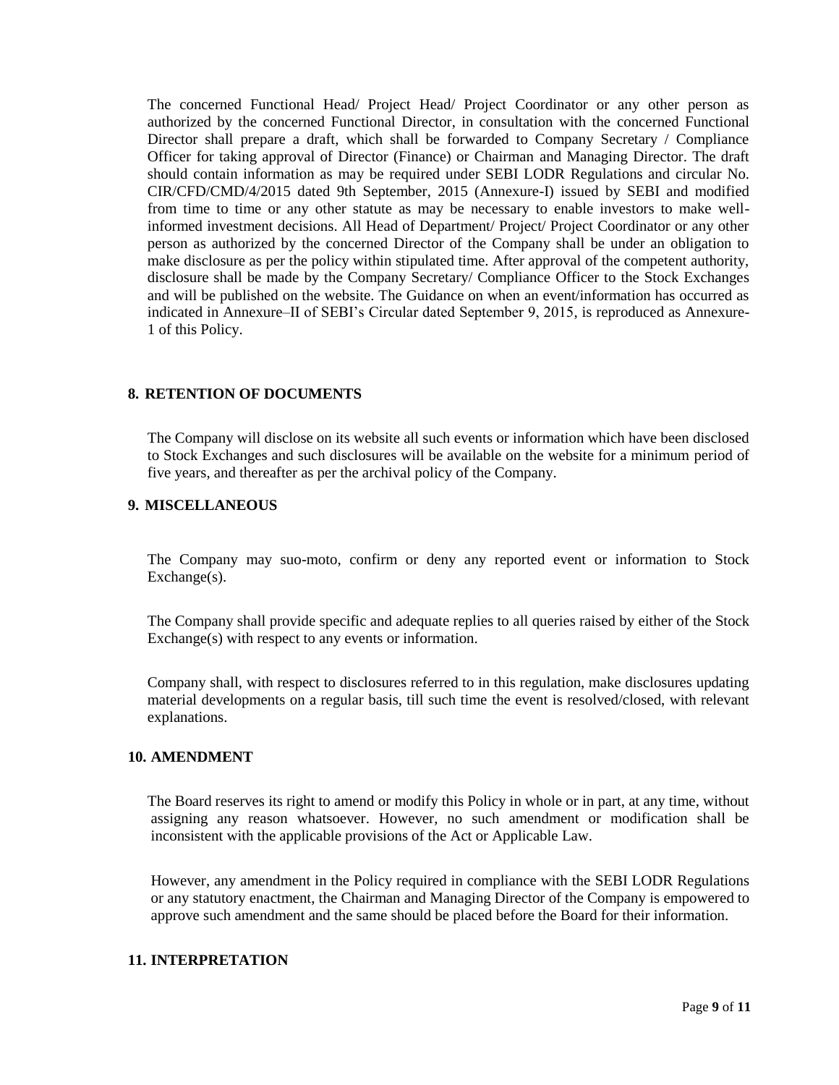The concerned Functional Head/ Project Head/ Project Coordinator or any other person as authorized by the concerned Functional Director, in consultation with the concerned Functional Director shall prepare a draft, which shall be forwarded to Company Secretary / Compliance Officer for taking approval of Director (Finance) or Chairman and Managing Director. The draft should contain information as may be required under SEBI LODR Regulations and circular No. CIR/CFD/CMD/4/2015 dated 9th September, 2015 (Annexure-I) issued by SEBI and modified from time to time or any other statute as may be necessary to enable investors to make wellinformed investment decisions. All Head of Department/ Project/ Project Coordinator or any other person as authorized by the concerned Director of the Company shall be under an obligation to make disclosure as per the policy within stipulated time. After approval of the competent authority, disclosure shall be made by the Company Secretary/ Compliance Officer to the Stock Exchanges and will be published on the website. The Guidance on when an event/information has occurred as indicated in Annexure–II of SEBI's Circular dated September 9, 2015, is reproduced as Annexure-1 of this Policy.

#### **8. RETENTION OF DOCUMENTS**

The Company will disclose on its website all such events or information which have been disclosed to Stock Exchanges and such disclosures will be available on the website for a minimum period of five years, and thereafter as per the archival policy of the Company.

#### **9. MISCELLANEOUS**

The Company may suo-moto, confirm or deny any reported event or information to Stock Exchange(s).

The Company shall provide specific and adequate replies to all queries raised by either of the Stock Exchange(s) with respect to any events or information.

Company shall, with respect to disclosures referred to in this regulation, make disclosures updating material developments on a regular basis, till such time the event is resolved/closed, with relevant explanations.

#### **10. AMENDMENT**

The Board reserves its right to amend or modify this Policy in whole or in part, at any time, without assigning any reason whatsoever. However, no such amendment or modification shall be inconsistent with the applicable provisions of the Act or Applicable Law.

However, any amendment in the Policy required in compliance with the SEBI LODR Regulations or any statutory enactment, the Chairman and Managing Director of the Company is empowered to approve such amendment and the same should be placed before the Board for their information.

#### **11. INTERPRETATION**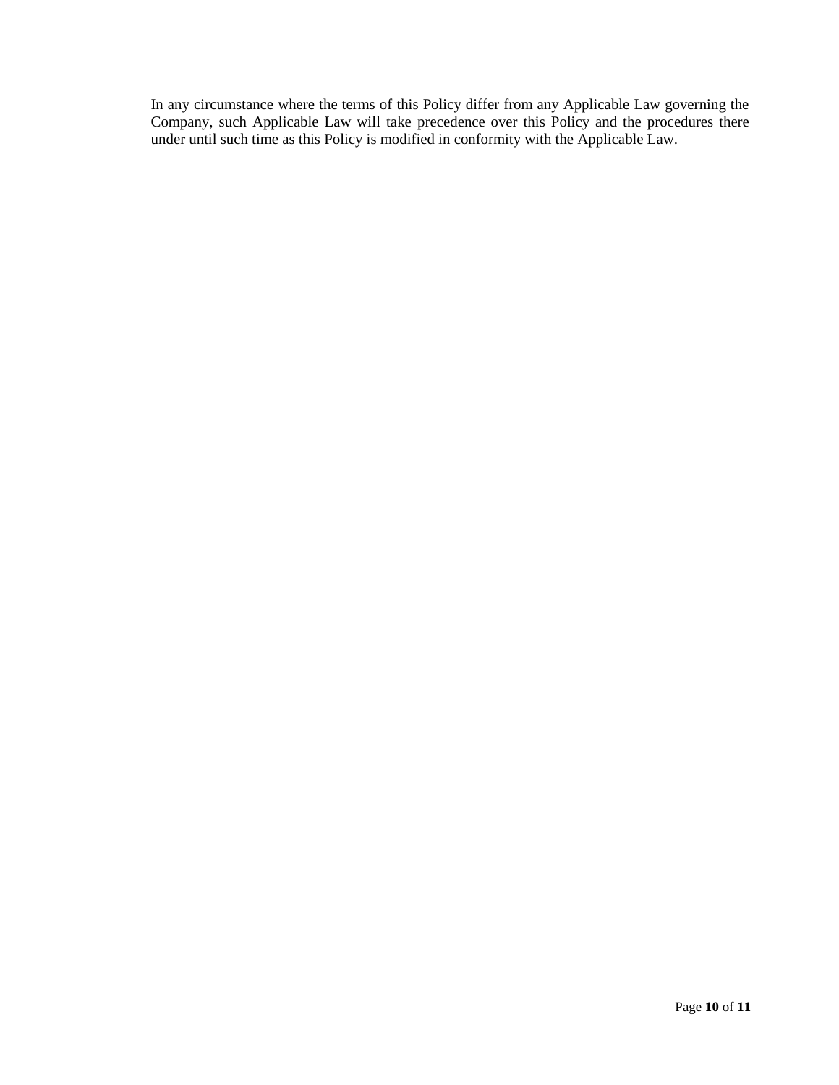In any circumstance where the terms of this Policy differ from any Applicable Law governing the Company, such Applicable Law will take precedence over this Policy and the procedures there under until such time as this Policy is modified in conformity with the Applicable Law.